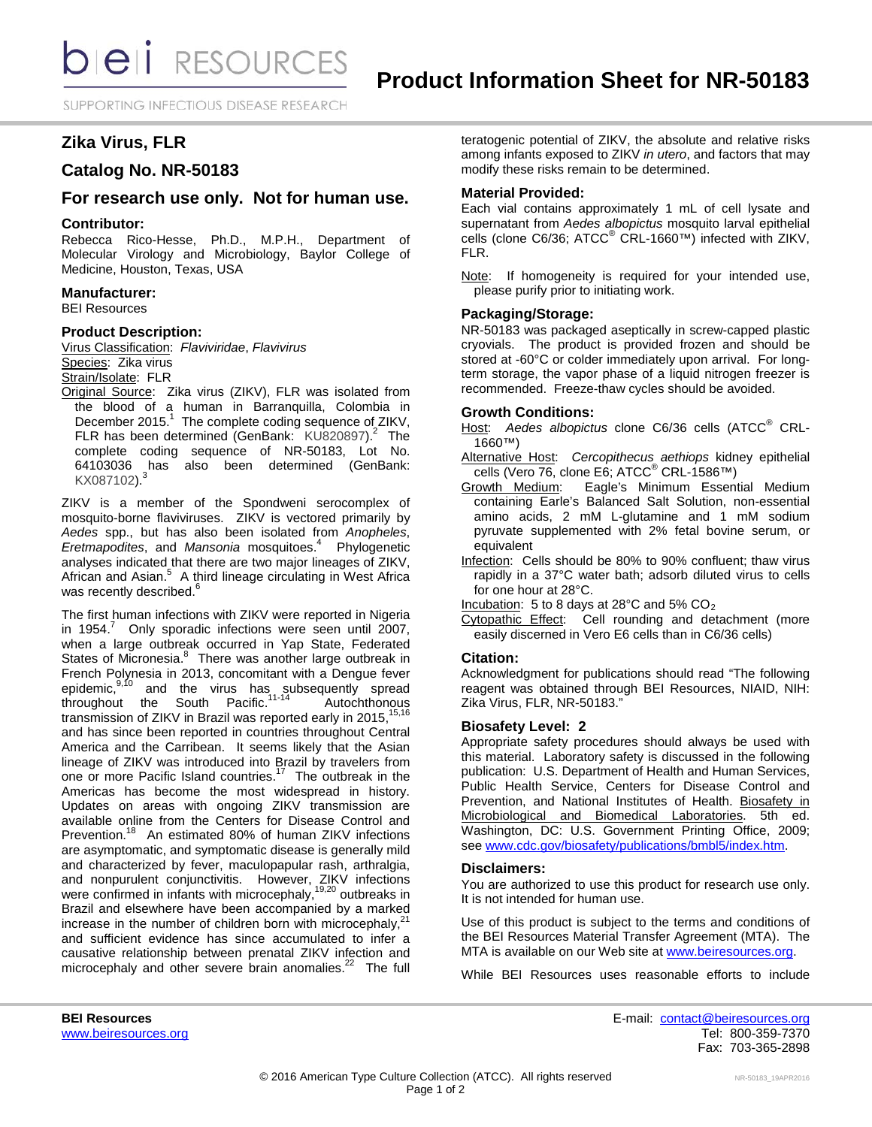SUPPORTING INFECTIOUS DISEASE RESEARCH

# **Zika Virus, FLR**

## **Catalog No. NR-50183**

## **For research use only. Not for human use.**

#### **Contributor:**

Rebecca Rico-Hesse, Ph.D., M.P.H., Department of Molecular Virology and Microbiology, Baylor College of Medicine, Houston, Texas, USA

#### **Manufacturer:**

BEI Resources

#### **Product Description:**

Virus Classification: *Flaviviridae*, *Flavivirus* Species: Zika virus

## Strain/Isolate: FLR

Original Source: Zika virus (ZIKV), FLR was isolated from the blood of a human in Barranquilla, Colombia in December 2015.<sup>1</sup> The complete coding sequence of ZIKV, FLR has been determined (GenBank:  $KU820897$ )<sup>2</sup> The complete coding sequence of NR-50183, Lot No. 64103036 has also been determined (GenBank: KX087102).<sup>3</sup>

ZIKV is a member of the Spondweni serocomplex of mosquito-borne flaviviruses. ZIKV is vectored primarily by *Aedes* spp., but has also been isolated from *Anopheles*, Eretmapodites, and Mansonia mosquitoes.<sup>4</sup> Phylogenetic analyses indicated that there are two major lineages of ZIKV, African and Asian.<sup>5</sup> A third lineage circulating in West Africa was recently described.<sup>6</sup>

The first human infections with ZIKV were reported in Nigeria in 1954. $^7$  Only sporadic infections were seen until 2007, when a large outbreak occurred in Yap State, Federated States of Micronesia.<sup>8</sup> There was another large outbreak in French Polynesia in 2013, concomitant with a Dengue fever epidemic,<sup>9,10</sup> and the virus has subsequently spread throughout the South Pacific.<sup>11-14</sup> Autochthonous transmission of ZIKV in Brazil was reported early in 2015,  $^{15,16}$ and has since been reported in countries throughout Central America and the Carribean. It seems likely that the Asian lineage of ZIKV was introduced into Brazil by travelers from one or more Pacific Island countries.<sup>17</sup> The outbreak in the Americas has become the most widespread in history. Updates on areas with ongoing ZIKV transmission are available online from the Centers for Disease Control and Prevention.<sup>18</sup> An estimated 80% of human ZIKV infections are asymptomatic, and symptomatic disease is generally mild and characterized by fever, maculopapular rash, arthralgia, and nonpurulent conjunctivitis. However, ZIKV infections were confirmed in infants with microcephaly,<sup>19,20</sup> outbreaks in Brazil and elsewhere have been accompanied by a marked increase in the number of children born with microcephaly, and sufficient evidence has since accumulated to infer a causative relationship between prenatal ZIKV infection and microcephaly and other severe brain anomalies.<sup>22</sup> The full

teratogenic potential of ZIKV, the absolute and relative risks among infants exposed to ZIKV *in utero*, and factors that may modify these risks remain to be determined.

#### **Material Provided:**

Each vial contains approximately 1 mL of cell lysate and supernatant from *Aedes albopictus* mosquito larval epithelial cells (clone C6/36; ATCC® CRL-1660™) infected with ZIKV, FLR.

Note: If homogeneity is required for your intended use, please purify prior to initiating work.

## **Packaging/Storage:**

NR-50183 was packaged aseptically in screw-capped plastic cryovials. The product is provided frozen and should be stored at -60°C or colder immediately upon arrival. For longterm storage, the vapor phase of a liquid nitrogen freezer is recommended. Freeze-thaw cycles should be avoided.

#### **Growth Conditions:**

- Host: *Aedes albopictus* clone C6/36 cells (ATCC® CRL-1660™)
- Alternative Host: *Cercopithecus aethiops* kidney epithelial cells (Vero 76, clone E6; ATCC<sup>®</sup> CRL-1586™)<br>Growth Medium: Eagle's Minimum Essen
- Eagle's Minimum Essential Medium containing Earle's Balanced Salt Solution, non-essential amino acids, 2 mM L-glutamine and 1 mM sodium pyruvate supplemented with 2% fetal bovine serum, or equivalent
- Infection: Cells should be 80% to 90% confluent; thaw virus rapidly in a 37°C water bath; adsorb diluted virus to cells for one hour at 28°C.

Incubation: 5 to 8 days at 28 $^{\circ}$ C and 5% CO<sub>2</sub>

Cytopathic Effect: Cell rounding and detachment (more easily discerned in Vero E6 cells than in C6/36 cells)

## **Citation:**

Acknowledgment for publications should read "The following reagent was obtained through BEI Resources, NIAID, NIH: Zika Virus, FLR, NR-50183."

#### **Biosafety Level: 2**

Appropriate safety procedures should always be used with this material. Laboratory safety is discussed in the following publication: U.S. Department of Health and Human Services, Public Health Service, Centers for Disease Control and Prevention, and National Institutes of Health. Biosafety in Microbiological and Biomedical Laboratories. 5th ed. Washington, DC: U.S. Government Printing Office, 2009; see [www.cdc.gov/biosafety/publications/bmbl5/index.htm.](http://www.cdc.gov/biosafety/publications/bmbl5/index.htm)

#### **Disclaimers:**

You are authorized to use this product for research use only. It is not intended for human use.

Use of this product is subject to the terms and conditions of the BEI Resources Material Transfer Agreement (MTA). The MTA is available on our Web site at [www.beiresources.org.](http://www.beiresources.org/)

While BEI Resources uses reasonable efforts to include

**BEI Resources** E-mail: [contact@beiresources.org](mailto:contact@beiresources.org) Fax: 703-365-2898